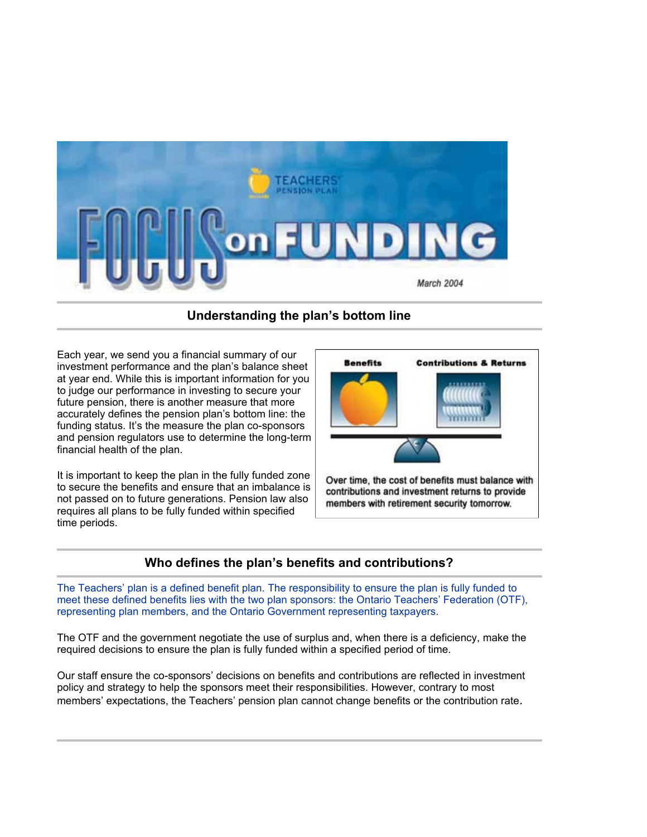

# **Understanding the plan's bottom line**

Each year, we send you a financial summary of our investment performance and the plan's balance sheet at year end. While this is important information for you to judge our performance in investing to secure your future pension, there is another measure that more accurately defines the pension plan's bottom line: the funding status. It's the measure the plan co-sponsors and pension regulators use to determine the long-term financial health of the plan.

It is important to keep the plan in the fully funded zone to secure the benefits and ensure that an imbalance is not passed on to future generations. Pension law also requires all plans to be fully funded within specified time periods.



Over time, the cost of benefits must balance with contributions and investment returns to provide members with retirement security tomorrow.

### **Who defines the plan's benefits and contributions?**

The Teachers' plan is a defined benefit plan. The responsibility to ensure the plan is fully funded to meet these defined benefits lies with the two plan sponsors: the Ontario Teachers' Federation (OTF), representing plan members, and the Ontario Government representing taxpayers.

The OTF and the government negotiate the use of surplus and, when there is a deficiency, make the required decisions to ensure the plan is fully funded within a specified period of time.

Our staff ensure the co-sponsors' decisions on benefits and contributions are reflected in investment policy and strategy to help the sponsors meet their responsibilities. However, contrary to most members' expectations, the Teachers' pension plan cannot change benefits or the contribution rate.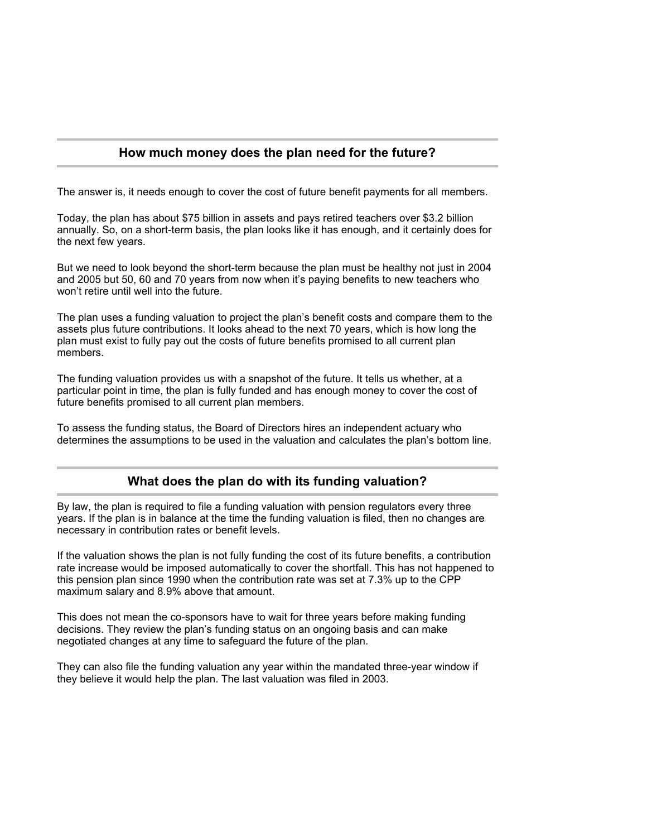### **How much money does the plan need for the future?**

The answer is, it needs enough to cover the cost of future benefit payments for all members.

Today, the plan has about \$75 billion in assets and pays retired teachers over \$3.2 billion annually. So, on a short-term basis, the plan looks like it has enough, and it certainly does for the next few years.

But we need to look beyond the short-term because the plan must be healthy not just in 2004 and 2005 but 50, 60 and 70 years from now when it's paying benefits to new teachers who won't retire until well into the future.

The plan uses a funding valuation to project the plan's benefit costs and compare them to the assets plus future contributions. It looks ahead to the next 70 years, which is how long the plan must exist to fully pay out the costs of future benefits promised to all current plan members.

The funding valuation provides us with a snapshot of the future. It tells us whether, at a particular point in time, the plan is fully funded and has enough money to cover the cost of future benefits promised to all current plan members.

To assess the funding status, the Board of Directors hires an independent actuary who determines the assumptions to be used in the valuation and calculates the plan's bottom line.

### **What does the plan do with its funding valuation?**

By law, the plan is required to file a funding valuation with pension regulators every three years. If the plan is in balance at the time the funding valuation is filed, then no changes are necessary in contribution rates or benefit levels.

If the valuation shows the plan is not fully funding the cost of its future benefits, a contribution rate increase would be imposed automatically to cover the shortfall. This has not happened to this pension plan since 1990 when the contribution rate was set at 7.3% up to the CPP maximum salary and 8.9% above that amount.

This does not mean the co-sponsors have to wait for three years before making funding decisions. They review the plan's funding status on an ongoing basis and can make negotiated changes at any time to safeguard the future of the plan.

They can also file the funding valuation any year within the mandated three-year window if they believe it would help the plan. The last valuation was filed in 2003.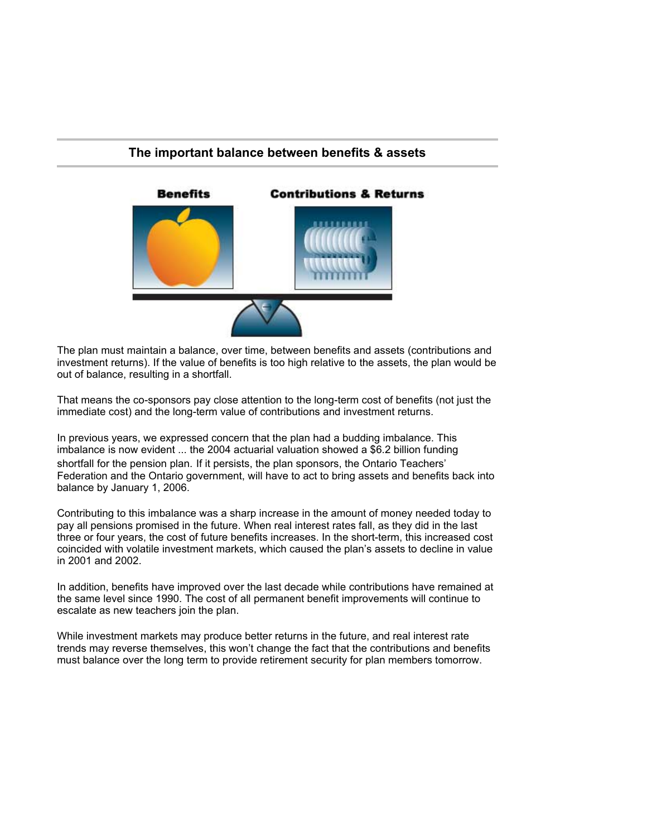## **The important balance between benefits & assets**



The plan must maintain a balance, over time, between benefits and assets (contributions and investment returns). If the value of benefits is too high relative to the assets, the plan would be out of balance, resulting in a shortfall.

That means the co-sponsors pay close attention to the long-term cost of benefits (not just the immediate cost) and the long-term value of contributions and investment returns.

In previous years, we expressed concern that the plan had a budding imbalance. This imbalance is now evident ... the 2004 actuarial valuation showed a \$6.2 billion funding shortfall for the pension plan. If it persists, the plan sponsors, the Ontario Teachers' Federation and the Ontario government, will have to act to bring assets and benefits back into balance by January 1, 2006.

Contributing to this imbalance was a sharp increase in the amount of money needed today to pay all pensions promised in the future. When real interest rates fall, as they did in the last three or four years, the cost of future benefits increases. In the short-term, this increased cost coincided with volatile investment markets, which caused the plan's assets to decline in value in 2001 and 2002.

In addition, benefits have improved over the last decade while contributions have remained at the same level since 1990. The cost of all permanent benefit improvements will continue to escalate as new teachers join the plan.

While investment markets may produce better returns in the future, and real interest rate trends may reverse themselves, this won't change the fact that the contributions and benefits must balance over the long term to provide retirement security for plan members tomorrow.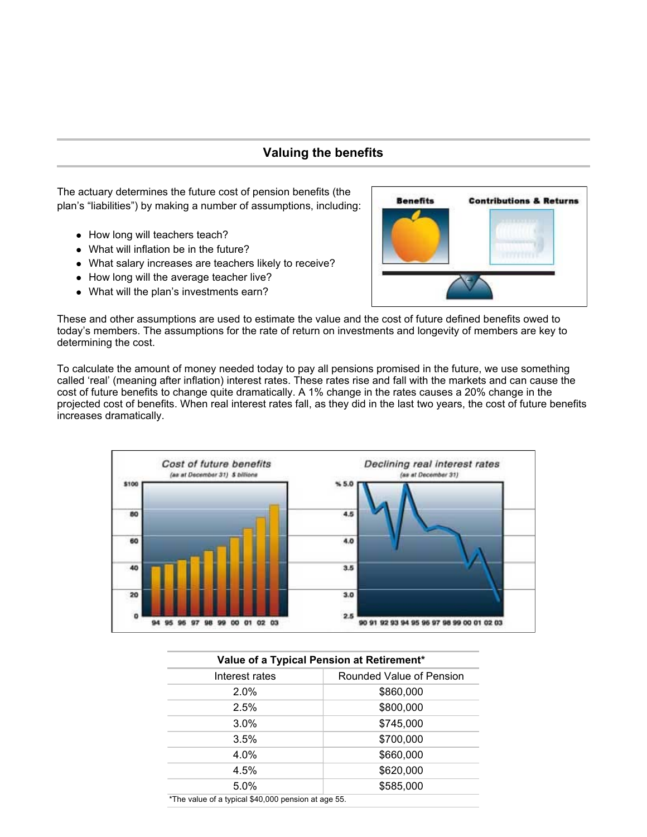# **Valuing the benefits**

The actuary determines the future cost of pension benefits (the plan's "liabilities") by making a number of assumptions, including:

- How long will teachers teach?
- What will inflation be in the future?
- What salary increases are teachers likely to receive?
- How long will the average teacher live?
- What will the plan's investments earn?



These and other assumptions are used to estimate the value and the cost of future defined benefits owed to today's members. The assumptions for the rate of return on investments and longevity of members are key to determining the cost.

To calculate the amount of money needed today to pay all pensions promised in the future, we use something called 'real' (meaning after inflation) interest rates. These rates rise and fall with the markets and can cause the cost of future benefits to change quite dramatically. A 1% change in the rates causes a 20% change in the projected cost of benefits. When real interest rates fall, as they did in the last two years, the cost of future benefits increases dramatically.



| Value of a Typical Pension at Retirement*           |                          |  |  |  |
|-----------------------------------------------------|--------------------------|--|--|--|
| Interest rates                                      | Rounded Value of Pension |  |  |  |
| 2.0%                                                | \$860,000                |  |  |  |
| 2.5%                                                | \$800,000                |  |  |  |
| $3.0\%$                                             | \$745,000                |  |  |  |
| 3.5%                                                | \$700,000                |  |  |  |
| 4.0%                                                | \$660,000                |  |  |  |
| 4.5%                                                | \$620,000                |  |  |  |
| 5.0%                                                | \$585,000                |  |  |  |
| *The value of a typical \$40,000 pension at age 55. |                          |  |  |  |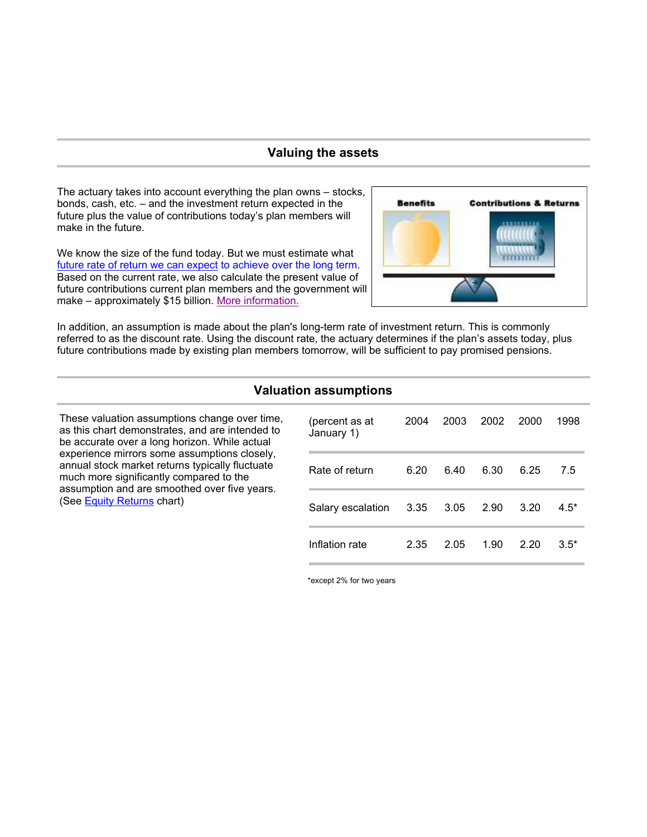### **Valuing the assets**

The actuary takes into account everything the plan owns – stocks, bonds, cash, etc. – and the investment return expected in the future plus the value of contributions today's plan members will make in the future.

We know the size of the fund today. But we must estimate what future rate of return we can expect to achieve over the long term. Based on the current rate, we also calculate the present value of future contributions current plan members and the government will make – approximately \$15 billion. More information.



In addition, an assumption is made about the plan's long-term rate of investment return. This is commonly referred to as the discount rate. Using the discount rate, the actuary determines if the plan's assets today, plus future contributions made by existing plan members tomorrow, will be sufficient to pay promised pensions.

### **Valuation assumptions**

These valuation assumptions change over time, as this chart demonstrates, and are intended to be accurate over a long horizon. While actual experience mirrors some assumptions closely, annual stock market returns typically fluctuate much more significantly compared to the assumption and are smoothed over five years. (See Equity Returns chart)

| (percent as at<br>January 1) | 2004 | 2003 | 2002 | 2000 | 1998   |
|------------------------------|------|------|------|------|--------|
| Rate of return               | 6.20 | 6.40 | 6.30 | 6.25 | 7.5    |
| Salary escalation            | 3.35 | 3.05 | 2.90 | 3.20 | $4.5*$ |
| Inflation rate               | 2.35 | 2.05 | 1.90 | 2.20 | $3.5*$ |

\*except 2% for two years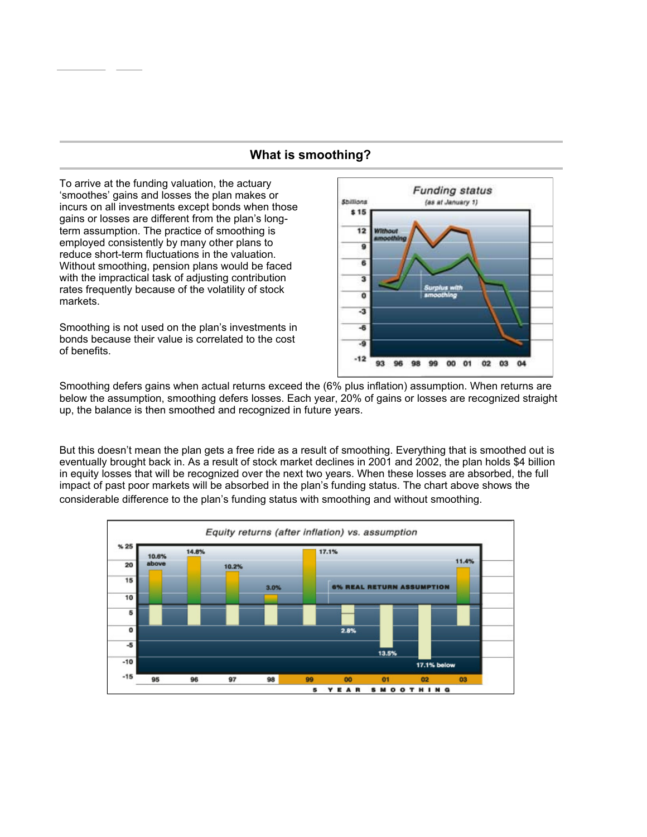### **What is smoothing?**

To arrive at the funding valuation, the actuary 'smoothes' gains and losses the plan makes or incurs on all investments except bonds when those gains or losses are different from the plan's longterm assumption. The practice of smoothing is employed consistently by many other plans to reduce short-term fluctuations in the valuation. Without smoothing, pension plans would be faced with the impractical task of adjusting contribution rates frequently because of the volatility of stock markets.

Smoothing is not used on the plan's investments in bonds because their value is correlated to the cost of benefits.



Smoothing defers gains when actual returns exceed the (6% plus inflation) assumption. When returns are below the assumption, smoothing defers losses. Each year, 20% of gains or losses are recognized straight up, the balance is then smoothed and recognized in future years.

But this doesn't mean the plan gets a free ride as a result of smoothing. Everything that is smoothed out is eventually brought back in. As a result of stock market declines in 2001 and 2002, the plan holds \$4 billion in equity losses that will be recognized over the next two years. When these losses are absorbed, the full impact of past poor markets will be absorbed in the plan's funding status. The chart above shows the considerable difference to the plan's funding status with smoothing and without smoothing.

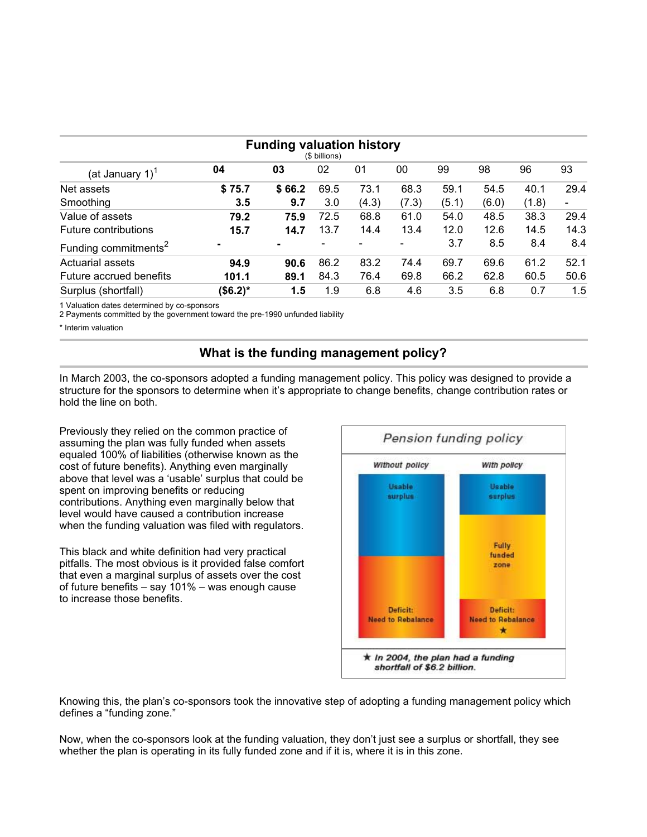| <b>Funding valuation history</b><br>(\$ billions) |           |        |      |       |       |       |       |       |                          |
|---------------------------------------------------|-----------|--------|------|-------|-------|-------|-------|-------|--------------------------|
| (at January 1) $1$                                | 04        | 03     | 02   | 01    | 00    | 99    | 98    | 96    | 93                       |
| Net assets                                        | \$75.7    | \$66.2 | 69.5 | 73.1  | 68.3  | 59.1  | 54.5  | 40.1  | 29.4                     |
| Smoothing                                         | 3.5       | 9.7    | 3.0  | (4.3) | (7.3) | (5.1) | (6.0) | (1.8) | $\overline{\phantom{a}}$ |
| Value of assets                                   | 79.2      | 75.9   | 72.5 | 68.8  | 61.0  | 54.0  | 48.5  | 38.3  | 29.4                     |
| Future contributions                              | 15.7      | 14.7   | 13.7 | 14.4  | 13.4  | 12.0  | 12.6  | 14.5  | 14.3                     |
| Funding commitments <sup>2</sup>                  |           |        |      |       |       | 3.7   | 8.5   | 8.4   | 8.4                      |
| Actuarial assets                                  | 94.9      | 90.6   | 86.2 | 83.2  | 74.4  | 69.7  | 69.6  | 61.2  | 52.1                     |
| Future accrued benefits                           | 101.1     | 89.1   | 84.3 | 76.4  | 69.8  | 66.2  | 62.8  | 60.5  | 50.6                     |
| Surplus (shortfall)                               | $($6.2)*$ | 1.5    | 1.9  | 6.8   | 4.6   | 3.5   | 6.8   | 0.7   | 1.5                      |

1 Valuation dates determined by co-sponsors

2 Payments committed by the government toward the pre-1990 unfunded liability

\* Interim valuation

# **What is the funding management policy?**

In March 2003, the co-sponsors adopted a funding management policy. This policy was designed to provide a structure for the sponsors to determine when it's appropriate to change benefits, change contribution rates or hold the line on both.

Previously they relied on the common practice of assuming the plan was fully funded when assets equaled 100% of liabilities (otherwise known as the cost of future benefits). Anything even marginally above that level was a 'usable' surplus that could be spent on improving benefits or reducing contributions. Anything even marginally below that level would have caused a contribution increase when the funding valuation was filed with regulators.

This black and white definition had very practical pitfalls. The most obvious is it provided false comfort that even a marginal surplus of assets over the cost of future benefits – say 101% – was enough cause to increase those benefits.



Knowing this, the plan's co-sponsors took the innovative step of adopting a funding management policy which defines a "funding zone."

Now, when the co-sponsors look at the funding valuation, they don't just see a surplus or shortfall, they see whether the plan is operating in its fully funded zone and if it is, where it is in this zone.